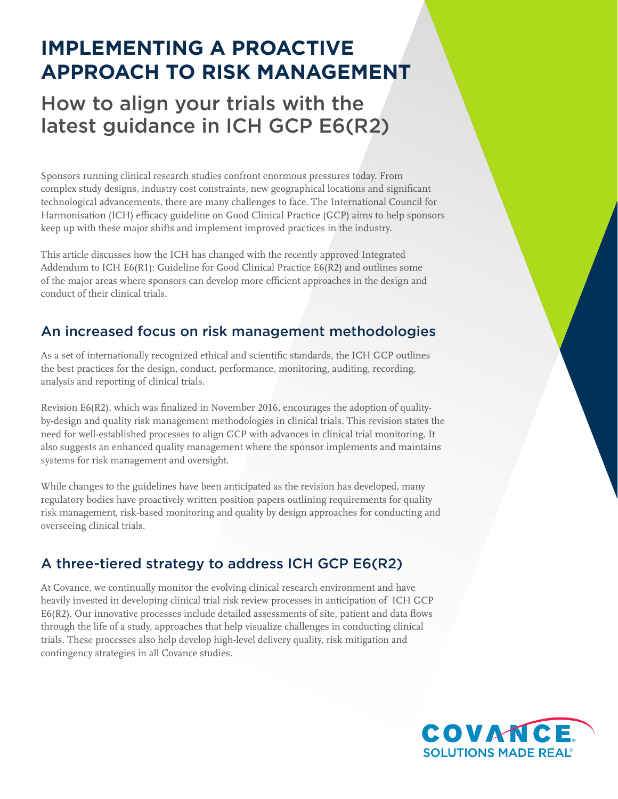# **IMPLEMENTING A PROACTIVE APPROACH TO RISK MANAGEMENT**

# How to align your trials with the latest guidance in ICH GCP E6(R2)

Sponsors running clinical research studies confront enormous pressures today. From complex study designs, industry cost constraints, new geographical locations and significant technological advancements, there are many challenges to face. The International Council for Harmonisation (ICH) efficacy guideline on Good Clinical Practice (GCP) aims to help sponsors keep up with these major shifts and implement improved practices in the industry.

This article discusses how the ICH has changed with the recently approved Integrated Addendum to ICH E6(R1): Guideline for Good Clinical Practice E6(R2) and outlines some of the major areas where sponsors can develop more efficient approaches in the design and conduct of their clinical trials.

# An increased focus on risk management methodologies

As a set of internationally recognized ethical and scientific standards, the ICH GCP outlines the best practices for the design, conduct, performance, monitoring, auditing, recording, analysis and reporting of clinical trials.

Revision E6(R2), which was finalized in November 2016, encourages the adoption of qualityby-design and quality risk management methodologies in clinical trials. This revision states the need for well-established processes to align GCP with advances in clinical trial monitoring. It also suggests an enhanced quality management where the sponsor implements and maintains systems for risk management and oversight.

While changes to the guidelines have been anticipated as the revision has developed, many regulatory bodies have proactively written position papers outlining requirements for quality risk management, risk-based monitoring and quality by design approaches for conducting and overseeing clinical trials.

# A three-tiered strategy to address ICH GCP E6(R2)

At Covance, we continually monitor the evolving clinical research environment and have heavily invested in developing clinical trial risk review processes in anticipation of ICH GCP E6(R2). Our innovative processes include detailed assessments of site, patient and data flows through the life of a study, approaches that help visualize challenges in conducting clinical trials. These processes also help develop high-level delivery quality, risk mitigation and contingency strategies in all Covance studies.

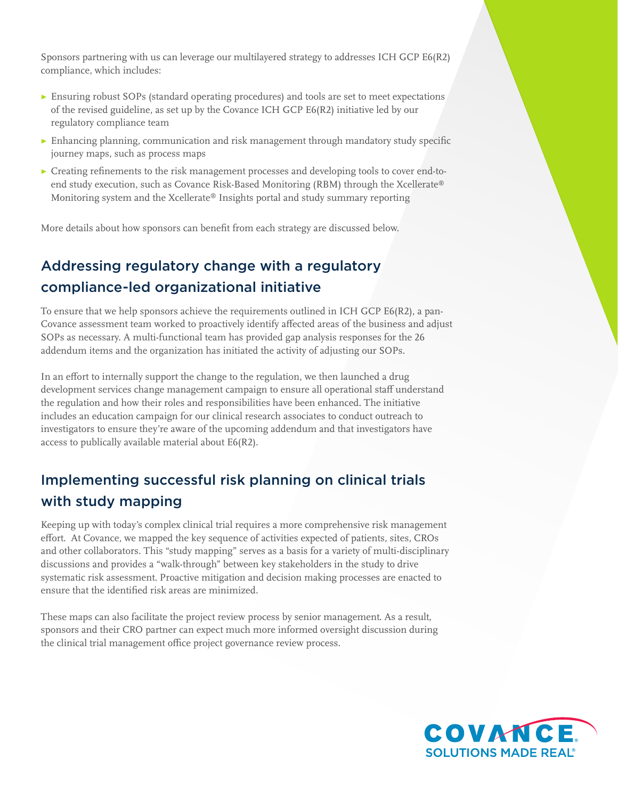Sponsors partnering with us can leverage our multilayered strategy to addresses ICH GCP E6(R2) compliance, which includes:

- ▶ Ensuring robust SOPs (standard operating procedures) and tools are set to meet expectations of the revised guideline, as set up by the Covance ICH GCP E6(R2) initiative led by our regulatory compliance team
- $\triangleright$  Enhancing planning, communication and risk management through mandatory study specific journey maps, such as process maps
- ▶ Creating refinements to the risk management processes and developing tools to cover end-toend study execution, such as Covance Risk-Based Monitoring (RBM) through the Xcellerate® Monitoring system and the Xcellerate® Insights portal and study summary reporting

More details about how sponsors can benefit from each strategy are discussed below.

# Addressing regulatory change with a regulatory compliance-led organizational initiative

To ensure that we help sponsors achieve the requirements outlined in ICH GCP E6(R2), a pan-Covance assessment team worked to proactively identify affected areas of the business and adjust SOPs as necessary. A multi-functional team has provided gap analysis responses for the 26 addendum items and the organization has initiated the activity of adjusting our SOPs.

In an effort to internally support the change to the regulation, we then launched a drug development services change management campaign to ensure all operational staff understand the regulation and how their roles and responsibilities have been enhanced. The initiative includes an education campaign for our clinical research associates to conduct outreach to investigators to ensure they're aware of the upcoming addendum and that investigators have access to publically available material about E6(R2).

# Implementing successful risk planning on clinical trials with study mapping

Keeping up with today's complex clinical trial requires a more comprehensive risk management effort. At Covance, we mapped the key sequence of activities expected of patients, sites, CROs and other collaborators. This "study mapping" serves as a basis for a variety of multi-disciplinary discussions and provides a "walk-through" between key stakeholders in the study to drive systematic risk assessment. Proactive mitigation and decision making processes are enacted to ensure that the identified risk areas are minimized.

These maps can also facilitate the project review process by senior management. As a result, sponsors and their CRO partner can expect much more informed oversight discussion during the clinical trial management office project governance review process.

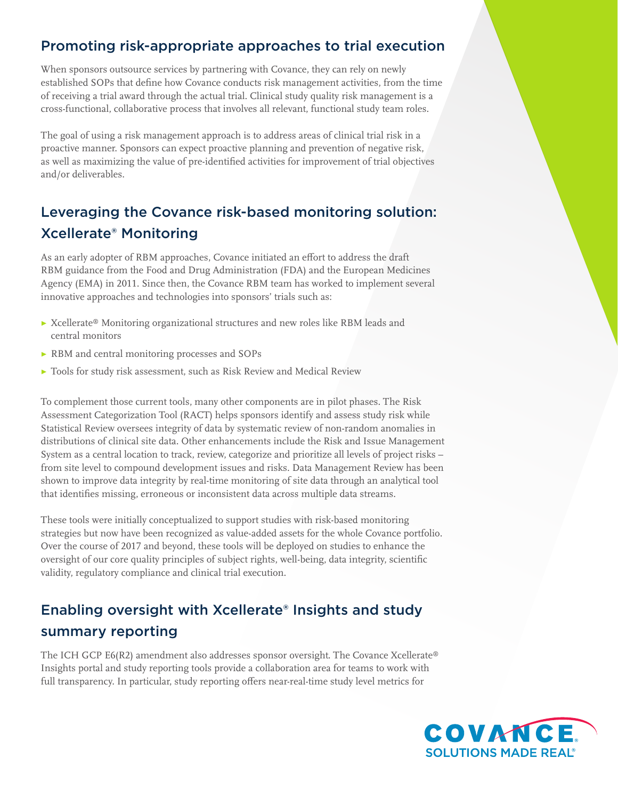### Promoting risk-appropriate approaches to trial execution

When sponsors outsource services by partnering with Covance, they can rely on newly established SOPs that define how Covance conducts risk management activities, from the time of receiving a trial award through the actual trial. Clinical study quality risk management is a cross-functional, collaborative process that involves all relevant, functional study team roles.

The goal of using a risk management approach is to address areas of clinical trial risk in a proactive manner. Sponsors can expect proactive planning and prevention of negative risk, as well as maximizing the value of pre-identified activities for improvement of trial objectives and/or deliverables.

# Leveraging the Covance risk-based monitoring solution: Xcellerate® Monitoring

As an early adopter of RBM approaches, Covance initiated an effort to address the draft RBM guidance from the Food and Drug Administration (FDA) and the European Medicines Agency (EMA) in 2011. Since then, the Covance RBM team has worked to implement several innovative approaches and technologies into sponsors' trials such as:

- ▶ Xcellerate® Monitoring organizational structures and new roles like RBM leads and central monitors
- ▶ RBM and central monitoring processes and SOPs
- ▶ Tools for study risk assessment, such as Risk Review and Medical Review

To complement those current tools, many other components are in pilot phases. The Risk Assessment Categorization Tool (RACT) helps sponsors identify and assess study risk while Statistical Review oversees integrity of data by systematic review of non-random anomalies in distributions of clinical site data. Other enhancements include the Risk and Issue Management System as a central location to track, review, categorize and prioritize all levels of project risks – from site level to compound development issues and risks. Data Management Review has been shown to improve data integrity by real-time monitoring of site data through an analytical tool that identifies missing, erroneous or inconsistent data across multiple data streams.

These tools were initially conceptualized to support studies with risk-based monitoring strategies but now have been recognized as value-added assets for the whole Covance portfolio. Over the course of 2017 and beyond, these tools will be deployed on studies to enhance the oversight of our core quality principles of subject rights, well-being, data integrity, scientific validity, regulatory compliance and clinical trial execution.

# Enabling oversight with Xcellerate® Insights and study summary reporting

The ICH GCP E6(R2) amendment also addresses sponsor oversight. The Covance Xcellerate® Insights portal and study reporting tools provide a collaboration area for teams to work with full transparency. In particular, study reporting offers near-real-time study level metrics for